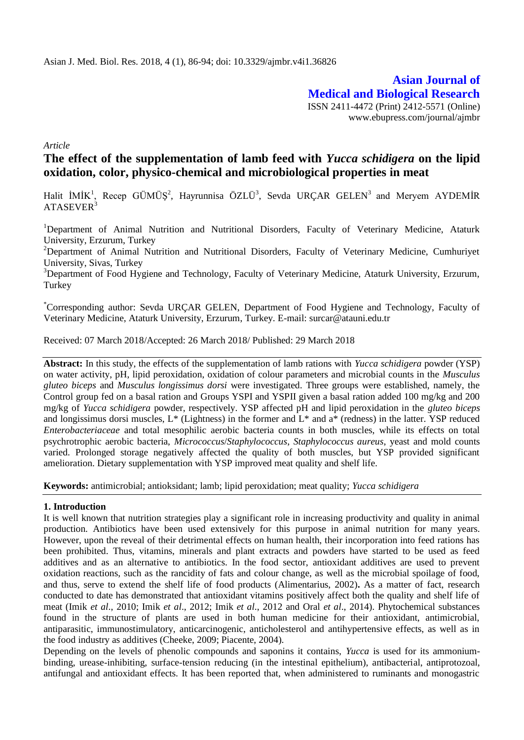**Asian Journal of Medical and Biological Research** ISSN 2411-4472 (Print) 2412-5571 (Online) www.ebupress.com/journal/ajmbr

*Article*

# **The effect of the supplementation of lamb feed with** *Yucca schidigera* **on the lipid oxidation, color, physico-chemical and microbiological properties in meat**

Halit  $IMIK<sup>1</sup>$ , Recep GÜMÜŞ<sup>2</sup>, Hayrunnisa ÖZLÜ<sup>3</sup>, Sevda URÇAR GELEN<sup>3</sup> and Meryem AYDEMİR ATASEVER<sup>3</sup>

<sup>1</sup>Department of Animal Nutrition and Nutritional Disorders, Faculty of Veterinary Medicine, Ataturk University, Erzurum, Turkey

<sup>2</sup>Department of Animal Nutrition and Nutritional Disorders, Faculty of Veterinary Medicine, Cumhuriyet University, Sivas, Turkey

<sup>3</sup>Department of Food Hygiene and Technology, Faculty of Veterinary Medicine, Ataturk University, Erzurum, **Turkey** 

\*Corresponding author: Sevda URÇAR GELEN, Department of Food Hygiene and Technology, Faculty of Veterinary Medicine, Ataturk University, Erzurum, Turkey. E-mail: surcar@atauni.edu.tr

Received: 07 March 2018/Accepted: 26 March 2018/ Published: 29 March 2018

**Abstract:** In this study, the effects of the supplementation of lamb rations with *Yucca schidigera* powder (YSP) on water activity, pH, lipid peroxidation, oxidation of colour parameters and microbial counts in the *Musculus gluteo biceps* and *Musculus longissimus dorsi* were investigated. Three groups were established, namely, the Control group fed on a basal ration and Groups YSPI and YSPII given a basal ration added 100 mg/kg and 200 mg/kg of *Yucca schidigera* powder, respectively. YSP affected pH and lipid peroxidation in the *gluteo biceps* and longissimus dorsi muscles,  $L^*$  (Lightness) in the former and  $L^*$  and  $a^*$  (redness) in the latter. YSP reduced *Enterobacteriaceae* and total mesophilic aerobic bacteria counts in both muscles, while its effects on total psychrotrophic aerobic bacteria, *Micrococcus*/*Staphylococcus*, *Staphylococcus aureus*, yeast and mold counts varied. Prolonged storage negatively affected the quality of both muscles, but YSP provided significant amelioration. Dietary supplementation with YSP improved meat quality and shelf life.

**Keywords:** antimicrobial; antioksidant; lamb; lipid peroxidation; meat quality; *Yucca schidigera*

#### **1. Introduction**

It is well known that nutrition strategies play a significant role in increasing productivity and quality in animal production. Antibiotics have been used extensively for this purpose in animal nutrition for many years. However, upon the reveal of their detrimental effects on human health, their incorporation into feed rations has been prohibited. Thus, vitamins, minerals and plant extracts and powders have started to be used as feed additives and as an alternative to antibiotics. In the food sector, antioxidant additives are used to prevent oxidation reactions, such as the rancidity of fats and colour change, as well as the microbial spoilage of food, and thus, serve to extend the shelf life of food products (Alimentarius, 2002)**.** As a matter of fact, research conducted to date has demonstrated that antioxidant vitamins positively affect both the quality and shelf life of meat (Imik *et al*., 2010; Imik *et al*., 2012; Imik *et al*., 2012 and Oral *et al*., 2014). Phytochemical substances found in the structure of plants are used in both human medicine for their antioxidant, antimicrobial, antiparasitic, immunostimulatory, anticarcinogenic, anticholesterol and antihypertensive effects, as well as in the food industry as additives (Cheeke, 2009; Piacente, 2004).

Depending on the levels of phenolic compounds and saponins it contains, *Yucca* is used for its ammoniumbinding, urease-inhibiting, surface-tension reducing (in the intestinal epithelium), antibacterial, antiprotozoal, antifungal and antioxidant effects. It has been reported that, when administered to ruminants and monogastric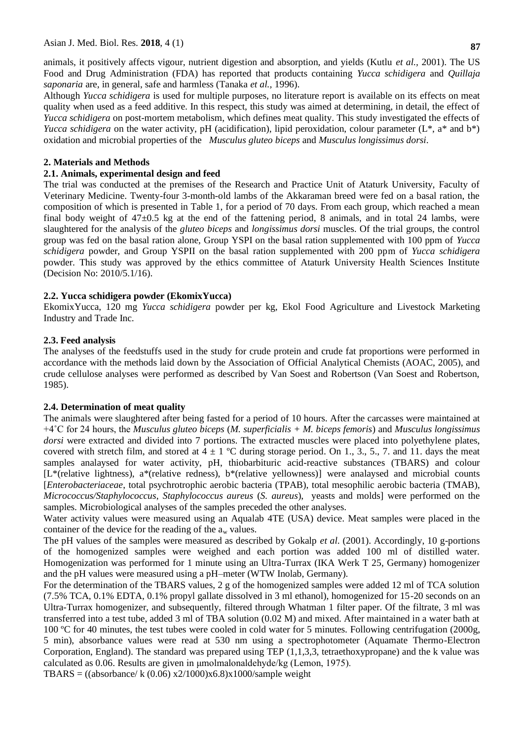animals, it positively affects vigour, nutrient digestion and absorption, and yields (Kutlu *et al.,* 2001). The US Food and Drug Administration (FDA) has reported that products containing *Yucca schidigera* and *Quillaja saponaria* are, in general, safe and harmless (Tanaka *et al.,* 1996).

Although *Yucca schidigera* is used for multiple purposes, no literature report is available on its effects on meat quality when used as a feed additive. In this respect, this study was aimed at determining, in detail, the effect of *Yucca schidigera* on post-mortem metabolism, which defines meat quality. This study investigated the effects of *Yucca schidigera* on the water activity, pH (acidification), lipid peroxidation, colour parameter (L<sup>\*</sup>, a<sup>\*</sup> and b<sup>\*</sup>) oxidation and microbial properties of the *Musculus gluteo biceps* and *Musculus longissimus dorsi*.

#### **2. Materials and Methods**

# **2.1. Animals, experimental design and feed**

The trial was conducted at the premises of the Research and Practice Unit of Ataturk University, Faculty of Veterinary Medicine. Twenty-four 3-month-old lambs of the Akkaraman breed were fed on a basal ration, the composition of which is presented in Table 1, for a period of 70 days. From each group, which reached a mean final body weight of 47 $\pm$ 0.5 kg at the end of the fattening period, 8 animals, and in total 24 lambs, were slaughtered for the analysis of the *gluteo biceps* and *longissimus dorsi* muscles. Of the trial groups, the control group was fed on the basal ration alone, Group YSPI on the basal ration supplemented with 100 ppm of *Yucca schidigera* powder, and Group YSPII on the basal ration supplemented with 200 ppm of *Yucca schidigera* powder. This study was approved by the ethics committee of Ataturk University Health Sciences Institute (Decision No: 2010/5.1/16).

# **2.2. Yucca schidigera powder (EkomixYucca)**

EkomixYucca, 120 mg *Yucca schidigera* powder per kg, Ekol Food Agriculture and Livestock Marketing Industry and Trade Inc.

# **2.3. Feed analysis**

The analyses of the feedstuffs used in the study for crude protein and crude fat proportions were performed in accordance with the methods laid down by the Association of Official Analytical Chemists (AOAC, 2005), and crude cellulose analyses were performed as described by Van Soest and Robertson (Van Soest and Robertson, 1985).

# **2.4. Determination of meat quality**

The animals were slaughtered after being fasted for a period of 10 hours. After the carcasses were maintained at +4˚C for 24 hours, the *Musculus gluteo biceps* (*M. superficialis + M. biceps femoris*) and *Musculus longissimus dorsi* were extracted and divided into 7 portions. The extracted muscles were placed into polyethylene plates, covered with stretch film, and stored at  $4 \pm 1$  °C during storage period. On 1., 3., 5., 7. and 11. days the meat samples analaysed for water activity, pH, thiobarbituric acid-reactive substances (TBARS) and colour [L\*(relative lightness), a\*(relative redness), b\*(relative yellowness)] were analaysed and microbial counts [*Enterobacteriaceae*, total psychrotrophic aerobic bacteria (TPAB), total mesophilic aerobic bacteria (TMAB), *Micrococcus/Staphylococcus*, *Staphylococcus aureus* (*S. aureus*), yeasts and molds] were performed on the samples. Microbiological analyses of the samples preceded the other analyses.

Water activity values were measured using an Aqualab 4TE (USA) device. Meat samples were placed in the container of the device for the reading of the  $a_w$  values.

The pH values of the samples were measured as described by Gokalp *et al*. (2001). Accordingly, 10 g-portions of the homogenized samples were weighed and each portion was added 100 ml of distilled water. Homogenization was performed for 1 minute using an Ultra-Turrax (IKA Werk T 25, Germany) homogenizer and the pH values were measured using a pH–meter (WTW Inolab, Germany).

For the determination of the TBARS values, 2 g of the homogenized samples were added 12 ml of TCA solution (7.5% TCA, 0.1% EDTA, 0.1% propyl gallate dissolved in 3 ml ethanol), homogenized for 15-20 seconds on an Ultra-Turrax homogenizer, and subsequently, filtered through Whatman 1 filter paper. Of the filtrate, 3 ml was transferred into a test tube, added 3 ml of TBA solution (0.02 M) and mixed. After maintained in a water bath at 100 ºC for 40 minutes, the test tubes were cooled in cold water for 5 minutes. Following centrifugation (2000g, 5 min), absorbance values were read at 530 nm using a spectrophotometer (Aquamate Thermo-Electron Corporation, England). The standard was prepared using TEP (1,1,3,3, tetraethoxypropane) and the k value was calculated as 0.06. Results are given in μmolmalonaldehyde/kg (Lemon, 1975).

TBARS =  $((\text{absorbane}/ k (0.06) x2/1000)x6.8)x1000/\text{sample weight}$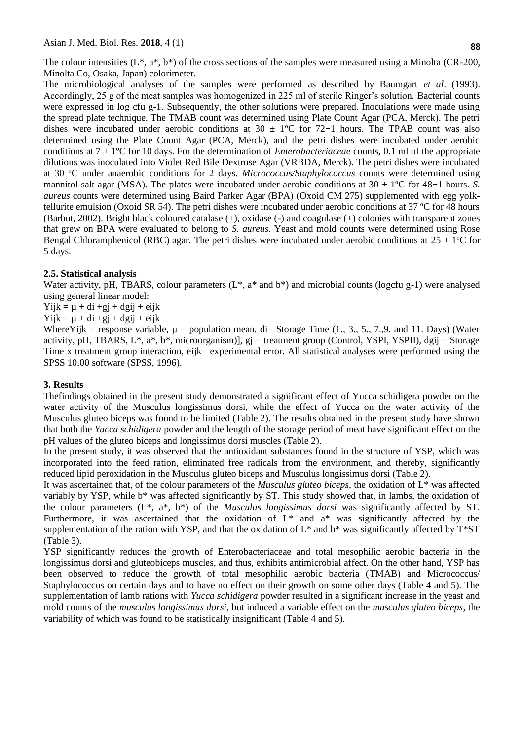Asian J. Med. Biol. Res. **2018**, 4 (1)

The colour intensities  $(L^*, a^*, b^*)$  of the cross sections of the samples were measured using a Minolta (CR-200, Minolta Co, Osaka, Japan) colorimeter.

The microbiological analyses of the samples were performed as described by Baumgart *et al*. (1993). Accordingly, 25 g of the meat samples was homogenized in 225 ml of sterile Ringer's solution. Bacterial counts were expressed in log cfu g-1. Subsequently, the other solutions were prepared. Inoculations were made using the spread plate technique. The TMAB count was determined using Plate Count Agar (PCA, Merck). The petri dishes were incubated under aerobic conditions at  $30 \pm 1^{\circ}$ C for 72+1 hours. The TPAB count was also determined using the Plate Count Agar (PCA, Merck), and the petri dishes were incubated under aerobic conditions at 7 ± 1ºC for 10 days. For the determination of *Enterobacteriaceae* counts, 0.1 ml of the appropriate dilutions was inoculated into Violet Red Bile Dextrose Agar (VRBDA, Merck). The petri dishes were incubated at 30 ºC under anaerobic conditions for 2 days. *Micrococcus/Staphylococcus* counts were determined using mannitol-salt agar (MSA). The plates were incubated under aerobic conditions at  $30 \pm 1^{\circ}$ C for  $48\pm 1$  hours. *S. aureus* counts were determined using Baird Parker Agar (BPA) (Oxoid CM 275) supplemented with egg yolktellurite emulsion (Oxoid SR 54). The petri dishes were incubated under aerobic conditions at 37 ºC for 48 hours (Barbut, 2002). Bright black coloured catalase (+), oxidase (-) and coagulase (+) colonies with transparent zones that grew on BPA were evaluated to belong to *S. aureus*. Yeast and mold counts were determined using Rose Bengal Chloramphenicol (RBC) agar. The petri dishes were incubated under aerobic conditions at  $25 \pm 1^{\circ}$ C for 5 days.

# **2.5. Statistical analysis**

Water activity, pH, TBARS, colour parameters ( $L^*$ ,  $a^*$  and  $b^*$ ) and microbial counts (logcfu g-1) were analysed using general linear model:

 $Yijk = \mu + di + gj + dgij + eijk$ 

 $Yijk = \mu + di +gj + dgij + eijk$ 

Where Yijk = response variable,  $\mu$  = population mean, di= Storage Time (1., 3., 5., 7.,9. and 11. Days) (Water activity, pH, TBARS, L\*, a\*, b\*, microorganism)], gj = treatment group (Control, YSPI, YSPII), dgij = Storage Time x treatment group interaction, eijk= experimental error. All statistical analyses were performed using the SPSS 10.00 software (SPSS, 1996).

# **3. Results**

Thefindings obtained in the present study demonstrated a significant effect of Yucca schidigera powder on the water activity of the Musculus longissimus dorsi, while the effect of Yucca on the water activity of the Musculus gluteo biceps was found to be limited (Table 2). The results obtained in the present study have shown that both the *Yucca schidigera* powder and the length of the storage period of meat have significant effect on the pH values of the gluteo biceps and longissimus dorsi muscles (Table 2).

In the present study, it was observed that the antioxidant substances found in the structure of YSP, which was incorporated into the feed ration, eliminated free radicals from the environment, and thereby, significantly reduced lipid peroxidation in the Musculus gluteo biceps and Musculus longissimus dorsi (Table 2).

It was ascertained that, of the colour parameters of the *Musculus gluteo biceps*, the oxidation of L\* was affected variably by YSP, while b\* was affected significantly by ST. This study showed that, in lambs, the oxidation of the colour parameters (L\*, a\*, b\*) of the *Musculus longissimus dorsi* was significantly affected by ST. Furthermore, it was ascertained that the oxidation of L\* and a\* was significantly affected by the supplementation of the ration with YSP, and that the oxidation of  $L^*$  and  $b^*$  was significantly affected by  $T^*ST$ (Table 3).

YSP significantly reduces the growth of Enterobacteriaceae and total mesophilic aerobic bacteria in the longissimus dorsi and gluteobiceps muscles, and thus, exhibits antimicrobial affect. On the other hand, YSP has been observed to reduce the growth of total mesophilic aerobic bacteria (TMAB) and Micrococcus/ Staphylococcus on certain days and to have no effect on their growth on some other days (Table 4 and 5). The supplementation of lamb rations with *Yucca schidigera* powder resulted in a significant increase in the yeast and mold counts of the *musculus longissimus dorsi*, but induced a variable effect on the *musculus gluteo biceps*, the variability of which was found to be statistically insignificant (Table 4 and 5).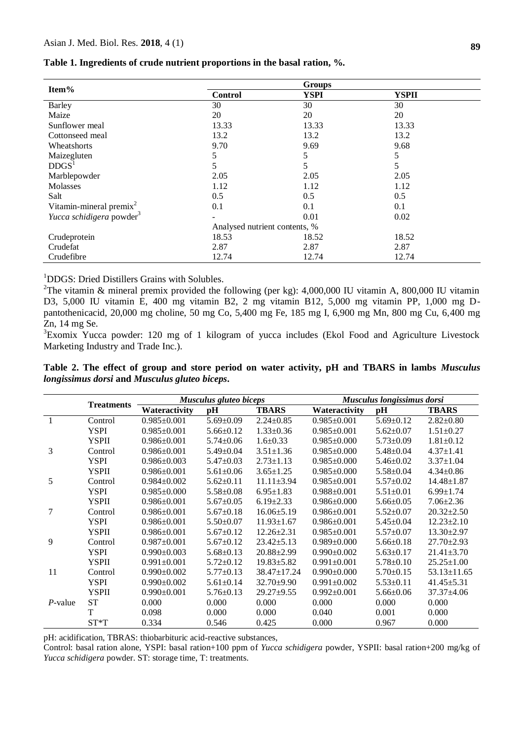| Item%                                |                               | <b>Groups</b> |              |
|--------------------------------------|-------------------------------|---------------|--------------|
|                                      | <b>Control</b>                | <b>YSPI</b>   | <b>YSPII</b> |
| Barley                               | 30                            | 30            | 30           |
| Maize                                | 20                            | 20            | 20           |
| Sunflower meal                       | 13.33                         | 13.33         | 13.33        |
| Cottonseed meal                      | 13.2                          | 13.2          | 13.2         |
| Wheatshorts                          | 9.70                          | 9.69          | 9.68         |
| Maizegluten                          | 5                             | 5             | 5            |
| DDGS <sup>1</sup>                    | 5                             | 5             | 5            |
| Marblepowder                         | 2.05                          | 2.05          | 2.05         |
| Molasses                             | 1.12                          | 1.12          | 1.12         |
| Salt                                 | 0.5                           | 0.5           | 0.5          |
| Vitamin-mineral premix $2$           | 0.1                           | 0.1           | 0.1          |
| Yucca schidigera powder <sup>3</sup> |                               | 0.01          | 0.02         |
|                                      | Analysed nutrient contents, % |               |              |
| Crudeprotein                         | 18.53                         | 18.52         | 18.52        |
| Crudefat                             | 2.87                          | 2.87          | 2.87         |
| Crudefibre                           | 12.74                         | 12.74         | 12.74        |

**Table 1. Ingredients of crude nutrient proportions in the basal ration, %.**

<sup>1</sup>DDGS: Dried Distillers Grains with Solubles.

<sup>2</sup>The vitamin & mineral premix provided the following (per kg): 4,000,000 IU vitamin A, 800,000 IU vitamin D3, 5,000 IU vitamin E, 400 mg vitamin B2, 2 mg vitamin B12, 5,000 mg vitamin PP, 1,000 mg Dpantothenicacid, 20,000 mg choline, 50 mg Co, 5,400 mg Fe, 185 mg I, 6,900 mg Mn, 800 mg Cu, 6,400 mg Zn, 14 mg Se.

<sup>3</sup>Exomix Yucca powder: 120 mg of 1 kilogram of yucca includes (Ekol Food and Agriculture Livestock Marketing Industry and Trade Inc.).

**Table 2. The effect of group and store period on water activity, pH and TBARS in lambs** *Musculus longissimus dorsi* **and** *Musculus gluteo biceps***.**

|            |                   |                   | Musculus gluteo biceps |                   | Musculus longissimus dorsi |                 |                   |
|------------|-------------------|-------------------|------------------------|-------------------|----------------------------|-----------------|-------------------|
|            | <b>Treatments</b> | Wateractivity     | pН                     | <b>TBARS</b>      | Wateractivity              | pН              | <b>TBARS</b>      |
|            | Control           | $0.985 \pm 0.001$ | $5.69 \pm 0.09$        | $2.24 \pm 0.85$   | $0.985 \pm 0.001$          | $5.69 \pm 0.12$ | $2.82 \pm 0.80$   |
|            | <b>YSPI</b>       | $0.985 \pm 0.001$ | $5.66 \pm 0.12$        | $1.33 \pm 0.36$   | $0.985 \pm 0.001$          | $5.62 \pm 0.07$ | $1.51 \pm 0.27$   |
|            | <b>YSPII</b>      | $0.986 \pm 0.001$ | $5.74 \pm 0.06$        | $1.6 \pm 0.33$    | $0.985 \pm 0.000$          | $5.73 \pm 0.09$ | $1.81 \pm 0.12$   |
| 3          | Control           | $0.986 \pm 0.001$ | $5.49 \pm 0.04$        | $3.51 \pm 1.36$   | $0.985 \pm 0.000$          | $5.48 \pm 0.04$ | $4.37 \pm 1.41$   |
|            | <b>YSPI</b>       | $0.986 \pm 0.003$ | $5.47 \pm 0.03$        | $2.73 \pm 1.13$   | $0.985 \pm 0.000$          | $5.46 \pm 0.02$ | $3.37 \pm 1.04$   |
|            | <b>YSPII</b>      | $0.986 \pm 0.001$ | $5.61 \pm 0.06$        | $3.65 \pm 1.25$   | $0.985 \pm 0.000$          | $5.58 \pm 0.04$ | $4.34 \pm 0.86$   |
| 5          | Control           | $0.984 \pm 0.002$ | $5.62 \pm 0.11$        | $11.11 \pm 3.94$  | $0.985 \pm 0.001$          | $5.57 \pm 0.02$ | $14.48 \pm 1.87$  |
|            | <b>YSPI</b>       | $0.985 \pm 0.000$ | $5.58 \pm 0.08$        | $6.95 \pm 1.83$   | $0.988 \pm 0.001$          | $5.51 \pm 0.01$ | $6.99 \pm 1.74$   |
|            | <b>YSPII</b>      | $0.986 \pm 0.001$ | $5.67 \pm 0.05$        | $6.19 \pm 2.33$   | $0.986 \pm 0.000$          | $5.66 \pm 0.05$ | $7.06 \pm 2.36$   |
| 7          | Control           | $0.986 \pm 0.001$ | $5.67 \pm 0.18$        | $16.06 \pm 5.19$  | $0.986 \pm 0.001$          | $5.52 \pm 0.07$ | $20.32 \pm 2.50$  |
|            | <b>YSPI</b>       | $0.986 \pm 0.001$ | $5.50 \pm 0.07$        | $11.93 \pm 1.67$  | $0.986 \pm 0.001$          | $5.45 \pm 0.04$ | $12.23 \pm 2.10$  |
|            | <b>YSPII</b>      | $0.986 \pm 0.001$ | $5.67 \pm 0.12$        | $12.26 \pm 2.31$  | $0.985 \pm 0.001$          | $5.57 \pm 0.07$ | $13.30 \pm 2.97$  |
| 9          | Control           | $0.987 \pm 0.001$ | $5.67 \pm 0.12$        | $23.42 \pm 5.13$  | $0.989 \pm 0.000$          | $5.66 \pm 0.18$ | $27.70 \pm 2.93$  |
|            | <b>YSPI</b>       | $0.990 \pm 0.003$ | $5.68 \pm 0.13$        | $20.88 \pm 2.99$  | $0.990 \pm 0.002$          | $5.63 \pm 0.17$ | $21.41 \pm 3.70$  |
|            | <b>YSPII</b>      | $0.991 \pm 0.001$ | $5.72 \pm 0.12$        | $19.83 \pm 5.82$  | $0.991 \pm 0.001$          | $5.78 \pm 0.10$ | $25.25 \pm 1.00$  |
| 11         | Control           | $0.990 \pm 0.002$ | $5.77 \pm 0.13$        | $38.47 \pm 17.24$ | $0.990 \pm 0.000$          | $5.70 \pm 0.15$ | $53.13 \pm 11.65$ |
|            | <b>YSPI</b>       | $0.990 \pm 0.002$ | $5.61 \pm 0.14$        | $32.70 \pm 9.90$  | $0.991 \pm 0.002$          | $5.53 \pm 0.11$ | $41.45 \pm 5.31$  |
|            | <b>YSPII</b>      | $0.990 \pm 0.001$ | $5.76 \pm 0.13$        | $29.27 + 9.55$    | $0.992 \pm 0.001$          | $5.66 \pm 0.06$ | $37.37 \pm 4.06$  |
| $P$ -value | <b>ST</b>         | 0.000             | 0.000                  | 0.000             | 0.000                      | 0.000           | 0.000             |
|            | T                 | 0.098             | 0.000                  | 0.000             | 0.040                      | 0.001           | 0.000             |
|            | $ST^*T$           | 0.334             | 0.546                  | 0.425             | 0.000                      | 0.967           | 0.000             |

pH: acidification, TBRAS: thiobarbituric acid-reactive substances,

Control: basal ration alone, YSPI: basal ration+100 ppm of *Yucca schidigera* powder, YSPII: basal ration+200 mg/kg of *Yucca schidigera* powder. ST: storage time, T: treatments.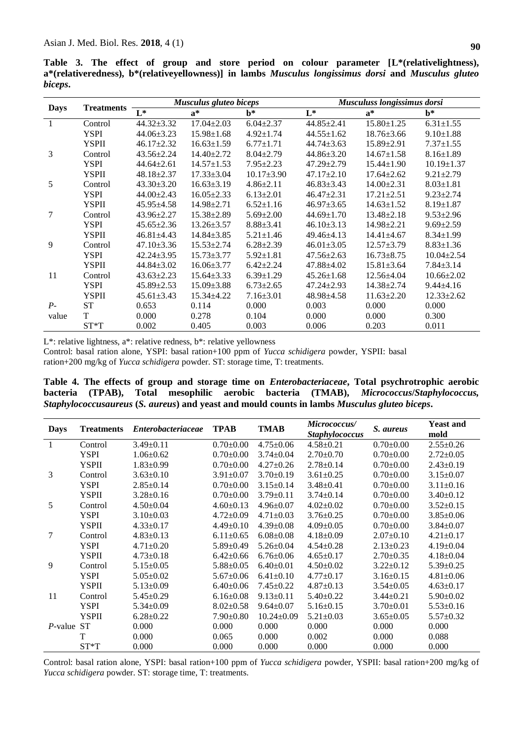**Table 3. The effect of group and store period on colour parameter [L\*(relativelightness), a\*(relativeredness), b\*(relativeyellowness)] in lambs** *Musculus longissimus dorsi* **and** *Musculus gluteo biceps***.**

|             |                   | Musculus gluteo biceps |                  |                  |                  | Musculuss longissimus dorsi |                  |  |
|-------------|-------------------|------------------------|------------------|------------------|------------------|-----------------------------|------------------|--|
| <b>Days</b> | <b>Treatments</b> | $L^*$                  | $a^*$            | $h^*$            | $L^*$            | $a^*$                       | $\mathbf{b}^*$   |  |
|             | Control           | $44.32 \pm 3.32$       | $17.04 \pm 2.03$ | $6.04 \pm 2.37$  | $44.85 \pm 2.41$ | $15.80 \pm 1.25$            | $6.31 \pm 1.55$  |  |
|             | <b>YSPI</b>       | $44.06 \pm 3.23$       | $15.98 \pm 1.68$ | $4.92 \pm 1.74$  | $44.55 \pm 1.62$ | $18.76 \pm 3.66$            | $9.10 \pm 1.88$  |  |
|             | <b>YSPII</b>      | $46.17 \pm 2.32$       | $16.63 \pm 1.59$ | $6.77 \pm 1.71$  | $44.74 \pm 3.63$ | $15.89 \pm 2.91$            | $7.37 \pm 1.55$  |  |
| 3           | Control           | $43.56 \pm 2.24$       | $14.40 \pm 2.72$ | $8.04 \pm 2.79$  | $44.86 \pm 3.20$ | $14.67 \pm 1.58$            | $8.16 \pm 1.89$  |  |
|             | <b>YSPI</b>       | $44.64 \pm 2.61$       | $14.57 \pm 1.53$ | $7.95 \pm 2.23$  | $47.29 \pm 2.79$ | $15.44 \pm 1.90$            | $10.19 \pm 1.37$ |  |
|             | YSPII             | $48.18 \pm 2.37$       | $17.33 \pm 3.04$ | $10.17 \pm 3.90$ | $47.17 \pm 2.10$ | $17.64 \pm 2.62$            | $9.21 \pm 2.79$  |  |
| 5           | Control           | $43.30 \pm 3.20$       | $16.63 \pm 3.19$ | $4.86 \pm 2.11$  | $46.83 \pm 3.43$ | $14.00 \pm 2.31$            | $8.03 \pm 1.81$  |  |
|             | <b>YSPI</b>       | $44.00 \pm 2.43$       | $16.05 \pm 2.33$ | $6.13 \pm 2.01$  | $46.47 \pm 2.31$ | $17.21 \pm 2.51$            | $9.23 \pm 2.74$  |  |
|             | <b>YSPII</b>      | $45.95 \pm 4.58$       | $14.98 \pm 2.71$ | $6.52 \pm 1.16$  | $46.97 \pm 3.65$ | $14.63 \pm 1.52$            | $8.19 \pm 1.87$  |  |
| 7           | Control           | $43.96 \pm 2.27$       | $15.38 \pm 2.89$ | $5.69 \pm 2.00$  | $44.69 \pm 1.70$ | $13.48 \pm 2.18$            | $9.53 \pm 2.96$  |  |
|             | <b>YSPI</b>       | $45.65 \pm 2.36$       | $13.26 \pm 3.57$ | $8.88 \pm 3.41$  | $46.10\pm3.13$   | $14.98 \pm 2.21$            | $9.69 \pm 2.59$  |  |
|             | <b>YSPII</b>      | $46.81 \pm 4.43$       | $14.84 \pm 3.85$ | $5.21 \pm 1.46$  | $49.46 \pm 4.13$ | $14.41 \pm 4.67$            | $8.34 \pm 1.99$  |  |
| 9           | Control           | $47.10 \pm 3.36$       | $15.53 \pm 2.74$ | $6.28 \pm 2.39$  | $46.01 \pm 3.05$ | $12.57 \pm 3.79$            | $8.83 \pm 1.36$  |  |
|             | YSPI              | $42.24 \pm 3.95$       | $15.73 \pm 3.77$ | $5.92 \pm 1.81$  | $47.56 \pm 2.63$ | $16.73 \pm 8.75$            | $10.04 \pm 2.54$ |  |
|             | <b>YSPII</b>      | $44.84 \pm 3.02$       | $16.06 \pm 3.77$ | $6.42 \pm 2.24$  | 47.88±4.02       | $15.81 \pm 3.64$            | $7.84 \pm 3.14$  |  |
| 11          | Control           | $43.63 \pm 2.23$       | $15.64 \pm 3.33$ | $6.39 \pm 1.29$  | $45.26 \pm 1.68$ | $12.56 \pm 4.04$            | $10.66 \pm 2.02$ |  |
|             | <b>YSPI</b>       | $45.89 \pm 2.53$       | $15.09 \pm 3.88$ | $6.73 \pm 2.65$  | $47.24 \pm 2.93$ | $14.38 \pm 2.74$            | $9.44 \pm 4.16$  |  |
|             | <b>YSPII</b>      | $45.61 \pm 3.43$       | $15.34 \pm 4.22$ | $7.16 \pm 3.01$  | $48.98 \pm 4.58$ | $11.63 \pm 2.20$            | $12.33 \pm 2.62$ |  |
| $P-$        | <b>ST</b>         | 0.653                  | 0.114            | 0.000            | 0.003            | 0.000                       | 0.000            |  |
| value       | T                 | 0.000                  | 0.278            | 0.104            | 0.000            | 0.000                       | 0.300            |  |
|             | $ST^*T$           | 0.002                  | 0.405            | 0.003            | 0.006            | 0.203                       | 0.011            |  |

L\*: relative lightness, a\*: relative redness, b\*: relative yellowness

Control: basal ration alone, YSPI: basal ration+100 ppm of *Yucca schidigera* powder, YSPII: basal ration+200 mg/kg of *Yucca schidigera* powder. ST: storage time, T: treatments.

**Table 4. The effects of group and storage time on** *Enterobacteriaceae***, Total psychrotrophic aerobic bacteria (TPAB), Total mesophilic aerobic bacteria (TMAB),** *Micrococcus***/***Staphylococcus, Staphylococcusaureus* **(***S. aureus***) and yeast and mould counts in lambs** *Musculus gluteo biceps***.**

| <b>Days</b> | <b>Treatments</b> | <i>Enterobacteriaceae</i> | <b>TPAB</b>     | <b>TMAB</b>      | Micrococcus/          | S. aureus       | <b>Yeast and</b> |
|-------------|-------------------|---------------------------|-----------------|------------------|-----------------------|-----------------|------------------|
|             |                   |                           |                 |                  | <b>Staphylococcus</b> |                 | mold             |
| 1           | Control           | $3.49 \pm 0.11$           | $0.70 \pm 0.00$ | $4.75 \pm 0.06$  | $4.58 \pm 0.21$       | $0.70 \pm 0.00$ | $2.55 \pm 0.26$  |
|             | <b>YSPI</b>       | $1.06 \pm 0.62$           | $0.70 \pm 0.00$ | $3.74 \pm 0.04$  | $2.70 \pm 0.70$       | $0.70 \pm 0.00$ | $2.72 \pm 0.05$  |
|             | <b>YSPII</b>      | $1.83 \pm 0.99$           | $0.70 \pm 0.00$ | $4.27 \pm 0.26$  | $2.78 \pm 0.14$       | $0.70 \pm 0.00$ | $2.43 \pm 0.19$  |
| 3           | Control           | $3.63 \pm 0.10$           | $3.91 \pm 0.07$ | $3.70 \pm 0.19$  | $3.61 \pm 0.25$       | $0.70 \pm 0.00$ | $3.15 \pm 0.07$  |
|             | <b>YSPI</b>       | $2.85 \pm 0.14$           | $0.70 \pm 0.00$ | $3.15 \pm 0.14$  | $3.48 \pm 0.41$       | $0.70 \pm 0.00$ | $3.11 \pm 0.16$  |
|             | <b>YSPII</b>      | $3.28 \pm 0.16$           | $0.70 \pm 0.00$ | $3.79 \pm 0.11$  | $3.74 \pm 0.14$       | $0.70 \pm 0.00$ | $3.40\pm0.12$    |
| 5           | Control           | $4.50 \pm 0.04$           | $4.60 \pm 0.13$ | $4.96 \pm 0.07$  | $4.02 \pm 0.02$       | $0.70 \pm 0.00$ | $3.52 \pm 0.15$  |
|             | <b>YSPI</b>       | $3.10 \pm 0.03$           | $4.72 \pm 0.09$ | $4.71 \pm 0.03$  | $3.76 \pm 0.25$       | $0.70 \pm 0.00$ | $3.85 \pm 0.06$  |
|             | <b>YSPII</b>      | $4.33 \pm 0.17$           | $4.49 \pm 0.10$ | $4.39 \pm 0.08$  | $4.09 \pm 0.05$       | $0.70 \pm 0.00$ | $3.84 \pm 0.07$  |
| 7           | Control           | $4.83 \pm 0.13$           | $6.11 \pm 0.65$ | $6.08 \pm 0.08$  | $4.18 \pm 0.09$       | $2.07 \pm 0.10$ | $4.21 \pm 0.17$  |
|             | <b>YSPI</b>       | $4.71 \pm 0.20$           | $5.89 \pm 0.49$ | $5.26 \pm 0.04$  | $4.54 \pm 0.28$       | $2.13 \pm 0.23$ | $4.19 \pm 0.04$  |
|             | <b>YSPII</b>      | $4.73 \pm 0.18$           | $6.42 \pm 0.66$ | $6.76 \pm 0.06$  | $4.65 \pm 0.17$       | $2.70 \pm 0.35$ | $4.18 \pm 0.04$  |
| 9           | Control           | $5.15 \pm 0.05$           | $5.88 \pm 0.05$ | $6.40 \pm 0.01$  | $4.50 \pm 0.02$       | $3.22 \pm 0.12$ | $5.39 \pm 0.25$  |
|             | <b>YSPI</b>       | $5.05 \pm 0.02$           | $5.67 \pm 0.06$ | $6.41 \pm 0.10$  | $4.77 \pm 0.17$       | $3.16 \pm 0.15$ | $4.81 \pm 0.06$  |
|             | <b>YSPII</b>      | $5.13 \pm 0.09$           | $6.40\pm0.06$   | $7.45 \pm 0.22$  | $4.87 \pm 0.13$       | $3.54 \pm 0.05$ | $4.63 \pm 0.17$  |
| 11          | Control           | $5.45 \pm 0.29$           | $6.16 \pm 0.08$ | $9.13 \pm 0.11$  | $5.40 \pm 0.22$       | $3.44 \pm 0.21$ | $5.90 \pm 0.02$  |
|             | <b>YSPI</b>       | $5.34 \pm 0.09$           | $8.02 \pm 0.58$ | $9.64 \pm 0.07$  | $5.16 \pm 0.15$       | $3.70 \pm 0.01$ | $5.53 \pm 0.16$  |
|             | <b>YSPII</b>      | $6.28 \pm 0.22$           | $7.90 \pm 0.80$ | $10.24 \pm 0.09$ | $5.21 \pm 0.03$       | $3.65 \pm 0.05$ | $5.57 \pm 0.32$  |
| P-value ST  |                   | 0.000                     | 0.000           | 0.000            | 0.000                 | 0.000           | 0.000            |
|             | T                 | 0.000                     | 0.065           | 0.000            | 0.002                 | 0.000           | 0.088            |
|             | $ST^*T$           | 0.000                     | 0.000           | 0.000            | 0.000                 | 0.000           | 0.000            |

Control: basal ration alone, YSPI: basal ration+100 ppm of *Yucca schidigera* powder, YSPII: basal ration+200 mg/kg of *Yucca schidigera* powder. ST: storage time, T: treatments.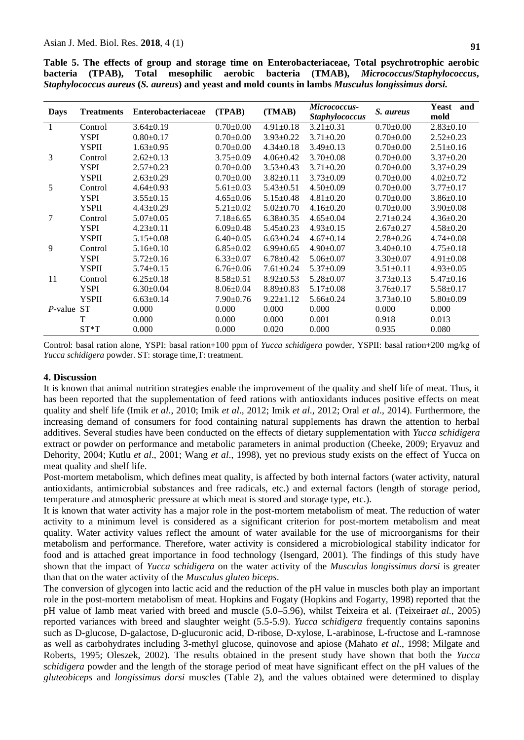|  |  |  | Table 5. The effects of group and storage time on Enterobacteriaceae, Total psychrotrophic aerobic |  |
|--|--|--|----------------------------------------------------------------------------------------------------|--|
|  |  |  | bacteria (TPAB), Total mesophilic aerobic bacteria (TMAB), Micrococcus/Staphylococcus,             |  |

| <b>Days</b> | <b>Treatments</b> | <b>Enterobacteriaceae</b> | (TPAB)          | (TMAB)          | Micrococcus-<br><b>Staphylococcus</b> | S. aureus       | Yeast<br>and<br>mold |
|-------------|-------------------|---------------------------|-----------------|-----------------|---------------------------------------|-----------------|----------------------|
|             | Control           | $3.64 \pm 0.19$           | $0.70 \pm 0.00$ | $4.91 \pm 0.18$ | $3.21 \pm 0.31$                       | $0.70 \pm 0.00$ | $2.83 \pm 0.10$      |
|             | <b>YSPI</b>       | $0.80 \pm 0.17$           | $0.70 \pm 0.00$ | $3.93 \pm 0.22$ | $3.71 \pm 0.20$                       | $0.70 \pm 0.00$ | $2.52 \pm 0.23$      |
|             | <b>YSPII</b>      | $1.63 \pm 0.95$           | $0.70 \pm 0.00$ | $4.34 \pm 0.18$ | $3.49 \pm 0.13$                       | $0.70 \pm 0.00$ | $2.51 \pm 0.16$      |
| 3           | Control           | $2.62 \pm 0.13$           | $3.75 \pm 0.09$ | $4.06 \pm 0.42$ | $3.70 \pm 0.08$                       | $0.70 \pm 0.00$ | $3.37 \pm 0.20$      |
|             | <b>YSPI</b>       | $2.57 \pm 0.23$           | $0.70 \pm 0.00$ | $3.53 \pm 0.43$ | $3.71 \pm 0.20$                       | $0.70 \pm 0.00$ | $3.37 \pm 0.29$      |
|             | <b>YSPII</b>      | $2.63 \pm 0.29$           | $0.70 \pm 0.00$ | $3.82 \pm 0.11$ | $3.73 \pm 0.09$                       | $0.70 \pm 0.00$ | $4.02 \pm 0.72$      |
| 5           | Control           | $4.64 \pm 0.93$           | $5.61 \pm 0.03$ | $5.43 \pm 0.51$ | $4.50 \pm 0.09$                       | $0.70 \pm 0.00$ | $3.77 \pm 0.17$      |
|             | <b>YSPI</b>       | $3.55 \pm 0.15$           | $4.65 \pm 0.06$ | $5.15 \pm 0.48$ | $4.81 \pm 0.20$                       | $0.70 \pm 0.00$ | $3.86 \pm 0.10$      |
|             | <b>YSPII</b>      | $4.43 \pm 0.29$           | $5.21 \pm 0.02$ | $5.02 \pm 0.70$ | $4.16 \pm 0.20$                       | $0.70 \pm 0.00$ | $3.90 \pm 0.08$      |
| 7           | Control           | $5.07 \pm 0.05$           | $7.18 \pm 6.65$ | $6.38 \pm 0.35$ | $4.65 \pm 0.04$                       | $2.71 \pm 0.24$ | $4.36 \pm 0.20$      |
|             | <b>YSPI</b>       | $4.23 \pm 0.11$           | $6.09 \pm 0.48$ | $5.45 \pm 0.23$ | $4.93 \pm 0.15$                       | $2.67 \pm 0.27$ | $4.58 \pm 0.20$      |
|             | <b>YSPII</b>      | $5.15 \pm 0.08$           | $6.40\pm0.05$   | $6.63 \pm 0.24$ | $4.67 \pm 0.14$                       | $2.78 \pm 0.26$ | $4.74 \pm 0.08$      |
| 9           | Control           | $5.16 \pm 0.10$           | $6.85 \pm 0.02$ | $6.99 \pm 0.65$ | $4.90 \pm 0.07$                       | $3.40\pm0.10$   | $4.75 \pm 0.18$      |
|             | <b>YSPI</b>       | $5.72 \pm 0.16$           | $6.33 \pm 0.07$ | $6.78 \pm 0.42$ | $5.06 \pm 0.07$                       | $3.30 \pm 0.07$ | $4.91 \pm 0.08$      |
|             | <b>YSPII</b>      | $5.74 \pm 0.15$           | $6.76 \pm 0.06$ | $7.61 \pm 0.24$ | $5.37 \pm 0.09$                       | $3.51 \pm 0.11$ | $4.93 \pm 0.05$      |
| 11          | Control           | $6.25 \pm 0.18$           | $8.58 \pm 0.51$ | $8.92 \pm 0.53$ | $5.28 \pm 0.07$                       | $3.73 \pm 0.13$ | $5.47 \pm 0.16$      |
|             | <b>YSPI</b>       | $6.30\pm0.04$             | $8.06 \pm 0.04$ | $8.89 \pm 0.83$ | $5.17 \pm 0.08$                       | $3.76 \pm 0.17$ | $5.58 \pm 0.17$      |
|             | <b>YSPII</b>      | $6.63 \pm 0.14$           | $7.90 \pm 0.76$ | $9.22 \pm 1.12$ | $5.66 \pm 0.24$                       | $3.73 \pm 0.10$ | $5.80 \pm 0.09$      |
| P-value ST  |                   | 0.000                     | 0.000           | 0.000           | 0.000                                 | 0.000           | 0.000                |
|             | T                 | 0.000                     | 0.000           | 0.000           | 0.001                                 | 0.918           | 0.013                |
|             | $ST^*T$           | 0.000                     | 0.000           | 0.020           | 0.000                                 | 0.935           | 0.080                |

*Staphylococcus aureus* **(***S. aureus***) and yeast and mold counts in lambs** *Musculus longissimus dorsi.*

Control: basal ration alone, YSPI: basal ration+100 ppm of *Yucca schidigera* powder, YSPII: basal ration+200 mg/kg of *Yucca schidigera* powder. ST: storage time,T: treatment.

#### **4. Discussion**

It is known that animal nutrition strategies enable the improvement of the quality and shelf life of meat. Thus, it has been reported that the supplementation of feed rations with antioxidants induces positive effects on meat quality and shelf life (Imik *et al*., 2010; Imik *et al*., 2012; Imik *et al*., 2012; Oral *et al*., 2014). Furthermore, the increasing demand of consumers for food containing natural supplements has drawn the attention to herbal additives. Several studies have been conducted on the effects of dietary supplementation with *Yucca schidigera* extract or powder on performance and metabolic parameters in animal production (Cheeke, 2009; Eryavuz and Dehority, 2004; Kutlu *et al*., 2001; Wang *et al*., 1998), yet no previous study exists on the effect of Yucca on meat quality and shelf life.

Post-mortem metabolism, which defines meat quality, is affected by both internal factors (water activity, natural antioxidants, antimicrobial substances and free radicals, etc.) and external factors (length of storage period, temperature and atmospheric pressure at which meat is stored and storage type, etc.).

It is known that water activity has a major role in the post-mortem metabolism of meat. The reduction of water activity to a minimum level is considered as a significant criterion for post-mortem metabolism and meat quality. Water activity values reflect the amount of water available for the use of microorganisms for their metabolism and performance. Therefore, water activity is considered a microbiological stability indicator for food and is attached great importance in food technology (Isengard, 2001). The findings of this study have shown that the impact of *Yucca schidigera* on the water activity of the *Musculus longissimus dorsi* is greater than that on the water activity of the *Musculus gluteo biceps*.

The conversion of glycogen into lactic acid and the reduction of the pH value in muscles both play an important role in the post-mortem metabolism of meat. Hopkins and Fogaty (Hopkins and Fogarty, 1998) reported that the pH value of lamb meat varied with breed and muscle (5.0–5.96), whilst Teixeira et al. (Teixeira*et al*., 2005) reported variances with breed and slaughter weight (5.5-5.9). *Yucca schidigera* frequently contains saponins such as D-glucose, D-galactose, D-glucuronic acid, D-ribose, D-xylose, L-arabinose, L-fructose and L-ramnose as well as carbohydrates including 3-methyl glucose, quinovose and apiose (Mahato *et al*., 1998; Milgate and Roberts, 1995; Oleszek, 2002). The results obtained in the present study have shown that both the *Yucca schidigera* powder and the length of the storage period of meat have significant effect on the pH values of the *gluteobiceps* and *longissimus dorsi* muscles (Table 2), and the values obtained were determined to display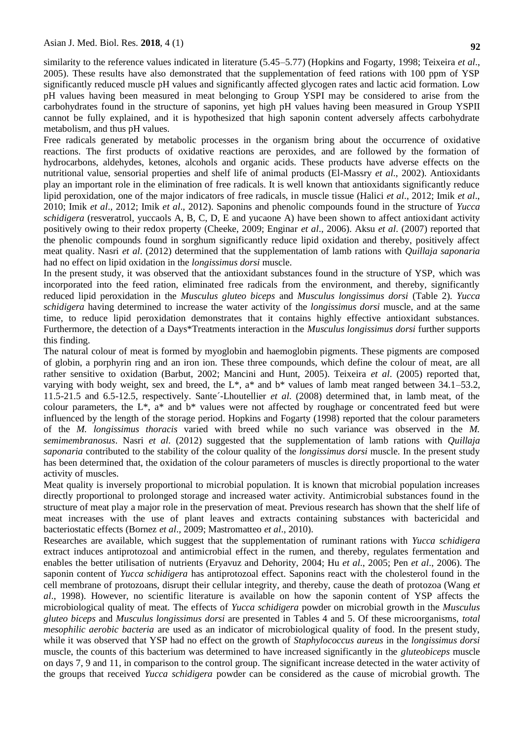similarity to the reference values indicated in literature (5.45–5.77) (Hopkins and Fogarty, 1998; Teixeira *et al*., 2005). These results have also demonstrated that the supplementation of feed rations with 100 ppm of YSP significantly reduced muscle pH values and significantly affected glycogen rates and lactic acid formation. Low pH values having been measured in meat belonging to Group YSPI may be considered to arise from the carbohydrates found in the structure of saponins, yet high pH values having been measured in Group YSPII cannot be fully explained, and it is hypothesized that high saponin content adversely affects carbohydrate metabolism, and thus pH values.

Free radicals generated by metabolic processes in the organism bring about the occurrence of oxidative reactions. The first products of oxidative reactions are peroxides, and are followed by the formation of hydrocarbons, aldehydes, ketones, alcohols and organic acids. These products have adverse effects on the nutritional value, sensorial properties and shelf life of animal products (El-Massry *et al*., 2002). Antioxidants play an important role in the elimination of free radicals. It is well known that antioxidants significantly reduce lipid peroxidation, one of the major indicators of free radicals, in muscle tissue (Halici *et al*., 2012; Imik *et al*., 2010; Imik *et al*., 2012; Imik *et al*., 2012). Saponins and phenolic compounds found in the structure of *Yucca schidigera* (resveratrol, yuccaols A, B, C, D, E and yucaone A) have been shown to affect antioxidant activity positively owing to their redox property (Cheeke, 2009; Enginar *et al*., 2006). Aksu *et al*. (2007) reported that the phenolic compounds found in sorghum significantly reduce lipid oxidation and thereby, positively affect meat quality. Nasri *et al*. (2012) determined that the supplementation of lamb rations with *Quillaja saponaria* had no effect on lipid oxidation in the *longissimus dorsi* muscle.

In the present study, it was observed that the antioxidant substances found in the structure of YSP, which was incorporated into the feed ration, eliminated free radicals from the environment, and thereby, significantly reduced lipid peroxidation in the *Musculus gluteo biceps* and *Musculus longissimus dorsi* (Table 2). *Yucca schidigera* having determined to increase the water activity of the *longissimus dorsi* muscle, and at the same time, to reduce lipid peroxidation demonstrates that it contains highly effective antioxidant substances. Furthermore, the detection of a Days\*Treatments interaction in the *Musculus longissimus dorsi* further supports this finding.

The natural colour of meat is formed by myoglobin and haemoglobin pigments. These pigments are composed of globin, a porphyrin ring and an iron ion. These three compounds, which define the colour of meat, are all rather sensitive to oxidation (Barbut, 2002; Mancini and Hunt, 2005). Teixeira *et al*. (2005) reported that, varying with body weight, sex and breed, the L<sup>\*</sup>, a<sup>\*</sup> and b<sup>\*</sup> values of lamb meat ranged between 34.1–53.2, 11.5-21.5 and 6.5-12.5, respectively. Sante´-Lhoutellier *et al*. (2008) determined that, in lamb meat, of the colour parameters, the L\*, a\* and b\* values were not affected by roughage or concentrated feed but were influenced by the length of the storage period. Hopkins and Fogarty (1998) reported that the colour parameters of the *M. longissimus thoracis* varied with breed while no such variance was observed in the *M. semimembranosus*. Nasri *et al*. (2012) suggested that the supplementation of lamb rations with *Quillaja saponaria* contributed to the stability of the colour quality of the *longissimus dorsi* muscle. In the present study has been determined that, the oxidation of the colour parameters of muscles is directly proportional to the water activity of muscles.

Meat quality is inversely proportional to microbial population. It is known that microbial population increases directly proportional to prolonged storage and increased water activity. Antimicrobial substances found in the structure of meat play a major role in the preservation of meat. Previous research has shown that the shelf life of meat increases with the use of plant leaves and extracts containing substances with bactericidal and bacteriostatic effects (Bornez *et al*., 2009; Mastromatteo *et al*., 2010).

Researches are available, which suggest that the supplementation of ruminant rations with *Yucca schidigera* extract induces antiprotozoal and antimicrobial effect in the rumen, and thereby, regulates fermentation and enables the better utilisation of nutrients (Eryavuz and Dehority, 2004; Hu *et al*., 2005; Pen *et al*., 2006). The saponin content of *Yucca schidigera* has antiprotozoal effect. Saponins react with the cholesterol found in the cell membrane of protozoans, disrupt their cellular integrity, and thereby, cause the death of protozoa (Wang *et al*., 1998). However, no scientific literature is available on how the saponin content of YSP affects the microbiological quality of meat. The effects of *Yucca schidigera* powder on microbial growth in the *Musculus gluteo biceps* and *Musculus longissimus dorsi* are presented in Tables 4 and 5. Of these microorganisms, *total mesophilic aerobic bacteria* are used as an indicator of microbiological quality of food. In the present study, while it was observed that YSP had no effect on the growth of *Staphylococcus aureus* in the *longissimus dorsi* muscle, the counts of this bacterium was determined to have increased significantly in the *gluteobiceps* muscle on days 7, 9 and 11, in comparison to the control group. The significant increase detected in the water activity of the groups that received *Yucca schidigera* powder can be considered as the cause of microbial growth. The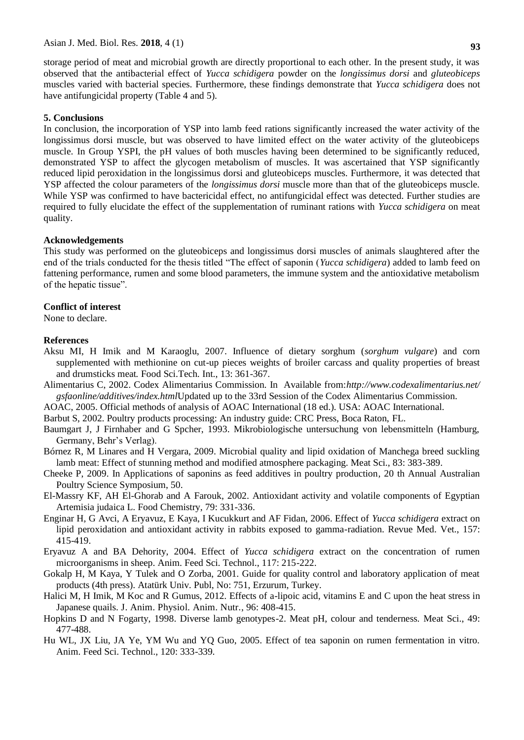storage period of meat and microbial growth are directly proportional to each other. In the present study, it was observed that the antibacterial effect of *Yucca schidigera* powder on the *longissimus dorsi* and *gluteobiceps* muscles varied with bacterial species. Furthermore, these findings demonstrate that *Yucca schidigera* does not have antifungicidal property (Table 4 and 5).

#### **5. Conclusions**

In conclusion, the incorporation of YSP into lamb feed rations significantly increased the water activity of the longissimus dorsi muscle, but was observed to have limited effect on the water activity of the gluteobiceps muscle. In Group YSPI, the pH values of both muscles having been determined to be significantly reduced, demonstrated YSP to affect the glycogen metabolism of muscles. It was ascertained that YSP significantly reduced lipid peroxidation in the longissimus dorsi and gluteobiceps muscles. Furthermore, it was detected that YSP affected the colour parameters of the *longissimus dorsi* muscle more than that of the gluteobiceps muscle. While YSP was confirmed to have bactericidal effect, no antifungicidal effect was detected. Further studies are required to fully elucidate the effect of the supplementation of ruminant rations with *Yucca schidigera* on meat quality.

#### **Acknowledgements**

This study was performed on the gluteobiceps and longissimus dorsi muscles of animals slaughtered after the end of the trials conducted for the thesis titled "The effect of saponin (*Yucca schidigera*) added to lamb feed on fattening performance, rumen and some blood parameters, the immune system and the antioxidative metabolism of the hepatic tissue".

#### **Conflict of interest**

None to declare.

#### **References**

- Aksu MI, H Imik and M Karaoglu, 2007. Influence of dietary sorghum (*sorghum vulgare*) and corn supplemented with methionine on cut-up pieces weights of broiler carcass and quality properties of breast and drumsticks meat*.* Food Sci.Tech. Int., 13: 361-367.
- Alimentarius C, 2002. Codex Alimentarius Commission. In Available from:*[http://www.codexalimentarius.net/](http://www.codexalimentarius.net/gsfaonline/additives/index.html) [gsfaonline/additives/index.html](http://www.codexalimentarius.net/gsfaonline/additives/index.html)*Updated up to the 33rd Session of the Codex Alimentarius Commission.
- AOAC, 2005. Official methods of analysis of AOAC International (18 ed.). USA: AOAC International.
- Barbut S, 2002. Poultry products processing: An industry guide: CRC Press, Boca Raton, FL.
- Baumgart J, J Firnhaber and G Spcher, 1993. Mikrobiologische untersuchung von lebensmitteln (Hamburg, Germany, Behr's Verlag).
- Bórnez R, M Linares and H Vergara, 2009. Microbial quality and lipid oxidation of Manchega breed suckling lamb meat: Effect of stunning method and modified atmosphere packaging. Meat Sci., 83: 383-389.
- Cheeke P, 2009. In Applications of saponins as feed additives in poultry production*,* 20 th Annual Australian Poultry Science Symposium, 50.
- El-Massry KF, AH El-Ghorab and A Farouk, 2002. Antioxidant activity and volatile components of Egyptian Artemisia judaica L. Food Chemistry, 79: 331-336.
- Enginar H, G Avci, A Eryavuz, E Kaya, I Kucukkurt and AF Fidan, 2006. Effect of *Yucca schidigera* extract on lipid peroxidation and antioxidant activity in rabbits exposed to gamma-radiation. Revue Med. Vet., 157: 415-419.
- Eryavuz A and BA Dehority, 2004. Effect of *Yucca schidigera* extract on the concentration of rumen microorganisms in sheep. Anim. Feed Sci. Technol., 117: 215-222.
- Gokalp H, M Kaya, Y Tulek and O Zorba, 2001. Guide for quality control and laboratory application of meat products (4th press). Atatürk Univ. Publ, No: 751, Erzurum, Turkey.
- Halici M, H Imik, M Koc and R Gumus, 2012. Effects of a-lipoic acid, vitamins E and C upon the heat stress in Japanese quails. J. Anim. Physiol. Anim. Nutr., 96: 408-415.
- Hopkins D and N Fogarty, 1998. Diverse lamb genotypes-2. Meat pH, colour and tenderness*.* Meat Sci., 49: 477-488.
- Hu WL, JX Liu, JA Ye, YM Wu and YQ Guo, 2005. Effect of tea saponin on rumen fermentation in vitro*.* Anim. Feed Sci. Technol., 120: 333-339.